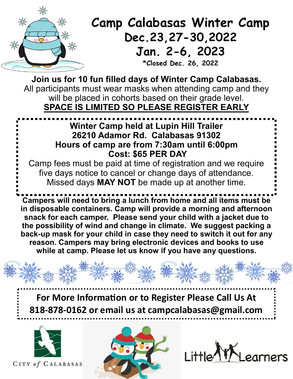

## **Camp Calabasas Winter Camp Dec.23,27-30,2022 Jan. 2-6, 2023**

**\*Closed Dec. 26, 2022**

**Join us for 10 fun filled days of Winter Camp Calabasas.**  All participants must wear masks when attending camp and they will be placed in cohorts based on their grade level. **SPACE IS LIMITED SO PLEASE REGISTER EARLY**

## **Winter Camp held at Lupin Hill Trailer 26210 Adamor Rd. Calabasas 91302 Hours of camp are from 7:30am until 6:00pm Cost: \$65 PER DAY**

Camp fees must be paid at time of registration and we require five days notice to cancel or change days of attendance. Missed days **MAY NOT** be made up at another time.

**Campers will need to bring a lunch from home and all items must be in disposable containers. Camp will provide a morning and afternoon snack for each camper. Please send your child with a jacket due to the possibility of wind and change in climate. We suggest packing a back-up mask for your child in case they need to switch it out for any reason. Campers may bring electronic devices and books to use while at camp. Please let us know if you have any questions.**

**For More Information or to Register Please Call Us At 818-878-0162 or email us at campcalabasas@gmail.com**



CITY of CALABASAS



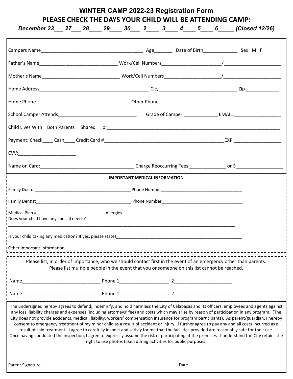Campers Name\_\_\_\_\_\_\_\_\_\_\_\_\_\_\_\_\_\_\_\_\_\_\_\_\_\_\_\_\_\_\_\_\_\_\_\_\_\_\_ Age\_\_\_\_\_\_\_ Date of Birth\_\_\_\_\_\_\_\_\_\_\_\_\_ Sex M F Father's Name **Example 20** Nork/Cell Numbers 20 Normer 20 Normer 20 Normer 20 Normer 20 Normer 20 Normer 20 Normer 20 Normer 20 Normer 20 Normer 20 Normer 20 Normer 20 Normer 20 Normer 20 Normer 20 Normer 20 Normer 20 Norm Mother's Name\_\_\_\_\_\_\_\_\_\_\_\_\_\_\_\_\_\_\_\_\_\_\_\_\_\_\_\_\_\_ Work/Cell Numbers\_\_\_\_\_\_\_\_\_\_\_\_\_\_\_\_\_\_\_\_\_\_/\_\_\_\_\_\_\_\_\_\_\_\_\_\_\_\_\_\_\_\_\_\_ Home Address\_\_\_\_\_\_\_\_\_\_\_\_\_\_\_\_\_\_\_\_\_\_\_\_\_\_\_\_\_\_\_\_\_\_\_\_\_\_\_\_\_\_ City\_\_\_\_\_\_\_\_\_\_\_\_\_\_\_\_\_\_\_\_\_\_\_\_\_\_\_\_\_\_ Zip\_\_\_\_\_\_\_\_\_\_\_\_\_ Home Phone\_\_\_\_\_\_\_\_\_\_\_\_\_\_\_\_\_\_\_\_\_\_\_\_\_\_\_\_\_\_\_\_\_\_\_\_ Other Phone\_\_\_\_\_\_\_\_\_\_\_\_\_\_\_\_\_\_\_\_\_\_\_\_\_\_\_\_\_\_\_\_\_\_\_\_\_\_\_\_\_ School Camper Attends\_\_\_\_\_\_\_\_\_\_\_\_\_\_\_\_\_\_\_\_\_\_\_\_\_\_\_\_\_\_ Grade of Camper \_\_\_\_\_\_\_\_\_\_\_\_\_ EMAIL:\_\_\_\_\_\_\_\_\_\_\_\_\_\_\_\_\_\_ Child Lives With: Both Parents Shared or\_\_\_\_\_\_\_\_\_\_\_\_\_\_\_\_\_\_\_\_\_\_\_\_\_\_\_\_\_\_\_\_\_\_\_\_\_\_\_\_\_\_\_\_\_\_\_\_\_\_\_\_\_\_\_\_\_\_\_\_\_\_\_\_\_\_ Payment: Check\_\_\_\_ Cash\_\_\_\_ Credit Card #\_\_\_\_\_\_\_\_\_\_\_\_\_\_\_\_\_\_\_\_\_\_\_\_\_\_\_\_\_\_\_\_\_\_\_\_\_\_\_\_\_\_\_\_\_\_EXP:\_\_\_\_\_\_\_\_\_\_\_\_\_\_\_\_\_\_ CVV:\_\_\_\_\_\_\_\_\_\_\_\_\_\_\_\_\_\_\_\_\_\_ Name on Card:\_\_\_\_\_\_\_\_\_\_\_\_\_\_\_\_\_\_\_\_\_\_\_\_\_\_\_\_\_\_\_\_\_\_\_\_ Charge Reoccurring Fees \_\_\_\_\_\_\_\_\_\_\_\_\_\_ or \$\_\_\_\_\_\_\_\_\_\_\_\_\_\_\_\_\_\_ **IMPORTANT MEDICAL INFORMATION** Family Doctor\_\_\_\_\_\_\_\_\_\_\_\_\_\_\_\_\_\_\_\_\_\_\_\_\_\_\_\_\_\_\_\_\_\_\_\_\_\_\_\_ Phone Number\_\_\_\_\_\_\_\_\_\_\_\_\_\_\_\_\_\_\_\_\_\_\_\_\_\_\_\_\_\_\_\_\_\_ Family Dentist **Example 20 and Security Phone Number** Phone Number Medical Plan #\_\_\_\_\_\_\_\_\_\_\_\_\_\_\_\_\_\_\_\_\_\_\_\_\_\_\_\_\_Allergies\_\_\_\_\_\_\_\_\_\_\_\_\_\_\_\_\_\_\_\_\_\_\_\_\_\_\_\_\_\_\_\_\_\_\_\_\_\_\_\_\_\_\_\_\_\_\_\_\_ Does your child have any special needs? \_\_\_\_\_\_\_\_\_\_\_\_\_\_\_\_\_\_\_\_\_\_\_\_\_\_\_\_\_\_\_\_\_\_\_\_\_\_\_\_\_\_\_\_\_\_\_\_\_\_\_\_\_\_\_\_\_\_\_\_\_\_\_\_\_\_\_\_\_\_\_\_\_\_\_\_\_\_\_\_\_\_\_\_\_\_\_\_\_\_\_\_\_\_\_ Is your child taking any medication? If yes, please state) Other Important Information\_\_\_\_\_\_\_\_\_\_\_\_\_\_\_\_\_\_\_\_\_\_\_\_\_\_\_\_\_\_\_\_\_\_\_\_\_\_\_\_\_\_\_\_\_\_\_\_\_\_\_\_\_\_\_\_\_\_\_\_\_\_\_\_\_\_\_\_\_ Please list, in order of importance, who we should contact first in the event of an emergency other than parents. Please list multiple people in the event that you or someone on this list cannot be reached. Name\_\_\_\_\_\_\_\_\_\_\_\_\_\_\_\_\_\_\_\_\_\_\_\_\_\_\_\_\_\_ Phone 1\_\_\_\_\_\_\_\_\_\_\_\_\_\_\_\_\_\_\_ 2\_\_\_\_\_\_\_\_\_\_\_\_\_\_\_\_\_\_\_\_\_\_ Name\_\_\_\_\_\_\_\_\_\_\_\_\_\_\_\_\_\_\_\_\_\_\_\_\_\_\_\_\_\_ Phone 1\_\_\_\_\_\_\_\_\_\_\_\_\_\_\_\_\_\_\_ 2\_\_\_\_\_\_\_\_\_\_\_\_\_\_\_\_\_\_\_\_\_\_ The undersigned hereby agrees to defend, indemnify, and hold harmless the City of Calabasas and its officers, employees and agents against any loss, liability charges and expenses (including attorneys' fee) and costs which may arise by reason of participation in any program. (The City does not provide accidents, medical, liability, workers' compensation insurance for program participants). As parent/guardian, I hereby consent to emergency treatment of my minor child as a result of accident or injury. I further agree to pay any and all costs incurred as a result of said treatment. I agree to carefully inspect and satisfy for me that the facilities provided are reasonably safe for their use. Once having conducted the inspection, I agree to expressly assume the risk of participating at the premises. I understand the City retains the right to use photos taken during activities for public purposes. **WINTER CAMP 2022-23 Registration Form PLEASE CHECK THE DAYS YOUR CHILD WILL BE ATTENDING CAMP:** *December 23\_\_\_ 27\_\_\_ 28\_\_\_\_ 29\_\_\_\_ 30\_\_\_ 2\_\_\_\_ 3\_\_\_\_ 4\_\_\_\_ 5\_\_\_\_ 6\_\_\_\_\_ (Closed 12/26)*

Parent Signature\_\_\_\_\_\_\_\_\_\_\_\_\_\_\_\_\_\_\_\_\_\_\_\_\_\_\_\_\_\_\_\_\_\_\_\_\_\_\_\_\_\_\_\_\_\_\_\_\_\_\_\_\_\_\_\_\_\_Date\_\_\_\_\_\_\_\_\_\_\_\_\_\_\_\_\_\_\_\_\_\_\_\_\_\_